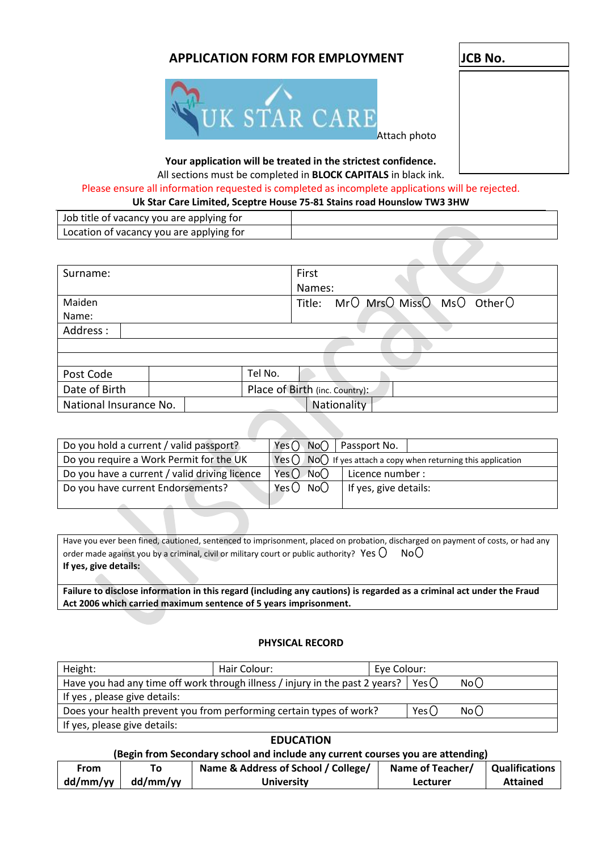# **APPLICATION FORM FOR EMPLOYMENT JCB No.**





# **Your application will be treated in the strictest confidence.**

### All sections must be completed in **BLOCK CAPITALS** in black ink.

#### Please ensure all information requested is completed as incomplete applications will be rejected.<br>
We show fore limited Secrets House 75.81 Stairs reed Houselou: TW3 2UM **Uk Star Care Limited, Sceptre House 75-81 Stains road Hounslow TW3 3HW**

| UK Star Care Limited, Sceptre House 75-81 Stains road Hounslow TW3 3HW |  |  |
|------------------------------------------------------------------------|--|--|
| Job title of vacancy you are applying for                              |  |  |
| Location of vacancy you are applying for                               |  |  |

| Surname:               |  | First                                                                                    |  |
|------------------------|--|------------------------------------------------------------------------------------------|--|
|                        |  | Names:                                                                                   |  |
| Maiden                 |  | $\textsf{MrO}$ Mrs $\textsf{O}$ Miss $\textsf{O}$ Ms $\textsf{O}$<br>Other $O$<br>Title: |  |
| Name:                  |  |                                                                                          |  |
| Address:               |  |                                                                                          |  |
|                        |  |                                                                                          |  |
|                        |  |                                                                                          |  |
| Post Code              |  | Tel No.                                                                                  |  |
| Date of Birth          |  | Place of Birth (inc. Country):                                                           |  |
| National Insurance No. |  | Nationality                                                                              |  |

| Do you hold a current / valid passport?       | Yes() No()   Passport No.                                         |                       |  |
|-----------------------------------------------|-------------------------------------------------------------------|-----------------------|--|
| Do you require a Work Permit for the UK       | $Yes() No()$ If yes attach a copy when returning this application |                       |  |
| Do you have a current / valid driving licence | Yes $\bigcirc$ No $\bigcirc$                                      | Licence number :      |  |
| Do you have current Endorsements?             | Yes $\bigcirc$ No $\bigcirc$                                      | If yes, give details: |  |
|                                               |                                                                   |                       |  |

**Failure to disclose information in this regard (including any cautions) is regarded as a criminal act under the Fraud Act 2006 which carried maximum sentence of 5 years imprisonment.**

#### **PHYSICAL RECORD**

| Height:                                                                                               | Hair Colour: | Eye Colour: |  |  |
|-------------------------------------------------------------------------------------------------------|--------------|-------------|--|--|
| Have you had any time off work through illness / injury in the past 2 years?   Yes $\bigcirc$<br>No() |              |             |  |  |
| If yes, please give details:                                                                          |              |             |  |  |
| Does your health prevent you from performing certain types of work?<br>Yes()<br>No()                  |              |             |  |  |
| If yes, please give details:                                                                          |              |             |  |  |

#### **EDUCATION**

### **(Begin from Secondary school and include any current courses you are attending)**

| From       |          | Name & Address of School / College/ | Name of Teacher/ | Qualifications  |
|------------|----------|-------------------------------------|------------------|-----------------|
| $dd/mm/yy$ | dd/mm/vv | <b>University</b>                   | Lecturer         | <b>Attained</b> |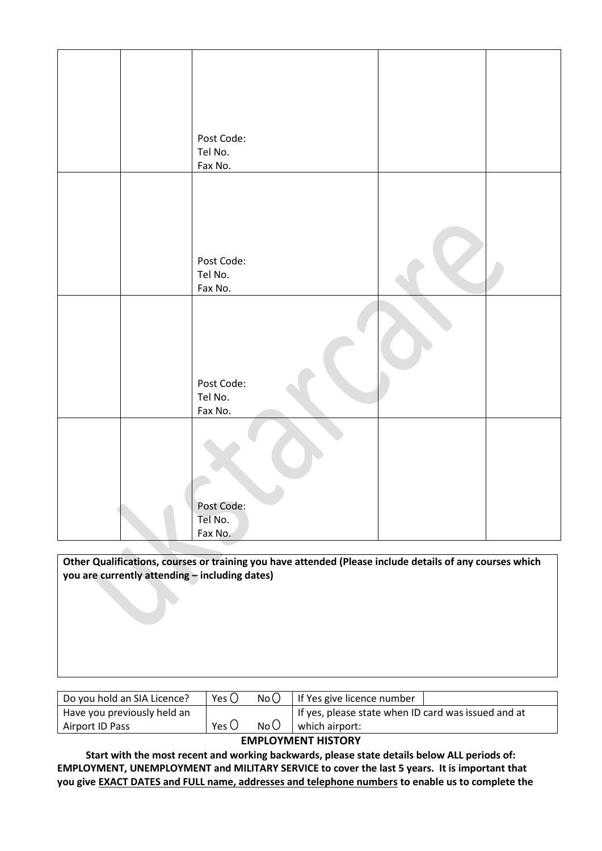| Post Code: |  |
|------------|--|
| Tel No.    |  |
| Fax No.    |  |
|            |  |
|            |  |
|            |  |
|            |  |
|            |  |
|            |  |
| Post Code: |  |
| Tel No.    |  |
|            |  |
| Fax No.    |  |
|            |  |
|            |  |
|            |  |
|            |  |
|            |  |
|            |  |
| Post Code: |  |
| Tel No.    |  |
| Fax No.    |  |
|            |  |
|            |  |
|            |  |
|            |  |
|            |  |
|            |  |
|            |  |
| Post Code: |  |
| Tel No.    |  |
| Fax No.    |  |

**Other Qualifications, courses or training you have attended (Please include details of any courses which you are currently attending – including dates)**

| Do you hold an SIA Licence? | Yes $\bigcirc$ | No()  | If Yes give licence number                            |
|-----------------------------|----------------|-------|-------------------------------------------------------|
| Have you previously held an |                |       | I If yes, please state when ID card was issued and at |
| Airport ID Pass             | Yes (          | No (J | which airport:                                        |

#### **EMPLOYMENT HISTORY**

**Start with the most recent and working backwards, please state details below ALL periods of: EMPLOYMENT, UNEMPLOYMENT and MILITARY SERVICE to cover the last 5 years. It is important that you give EXACT DATES and FULL name, addresses and telephone numbers to enable us to complete the**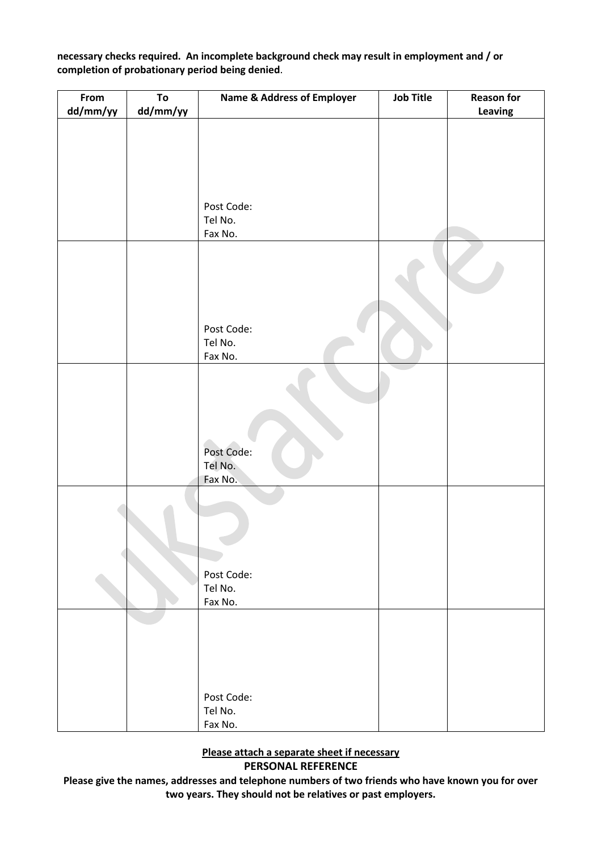**necessary checks required. An incomplete background check may result in employment and / or completion of probationary period being denied**.

| From<br>dd/mm/yy | To<br>dd/mm/yy | <b>Name &amp; Address of Employer</b> | <b>Job Title</b> | <b>Reason for</b><br>Leaving |
|------------------|----------------|---------------------------------------|------------------|------------------------------|
|                  |                |                                       |                  |                              |
|                  |                |                                       |                  |                              |
|                  |                |                                       |                  |                              |
|                  |                |                                       |                  |                              |
|                  |                | Post Code:                            |                  |                              |
|                  |                | Tel No.<br>Fax No.                    |                  |                              |
|                  |                |                                       |                  |                              |
|                  |                |                                       |                  |                              |
|                  |                |                                       |                  |                              |
|                  |                | Post Code:                            |                  |                              |
|                  |                | Tel No.<br>Fax No.                    |                  |                              |
|                  |                |                                       |                  |                              |
|                  |                |                                       |                  |                              |
|                  |                | Post Code:<br>Tel No.                 |                  |                              |
|                  |                | Fax No.                               |                  |                              |
|                  |                |                                       |                  |                              |
|                  |                |                                       |                  |                              |
|                  |                | Post Code:                            |                  |                              |
|                  |                | Tel No.<br>Fax No.                    |                  |                              |
|                  |                |                                       |                  |                              |
|                  |                |                                       |                  |                              |
|                  |                |                                       |                  |                              |
|                  |                |                                       |                  |                              |
|                  |                | Post Code:                            |                  |                              |
|                  |                | Tel No.<br>Fax No.                    |                  |                              |

**Please attach a separate sheet if necessary PERSONAL REFERENCE**

**Please give the names, addresses and telephone numbers of two friends who have known you for over two years. They should not be relatives or past employers.**